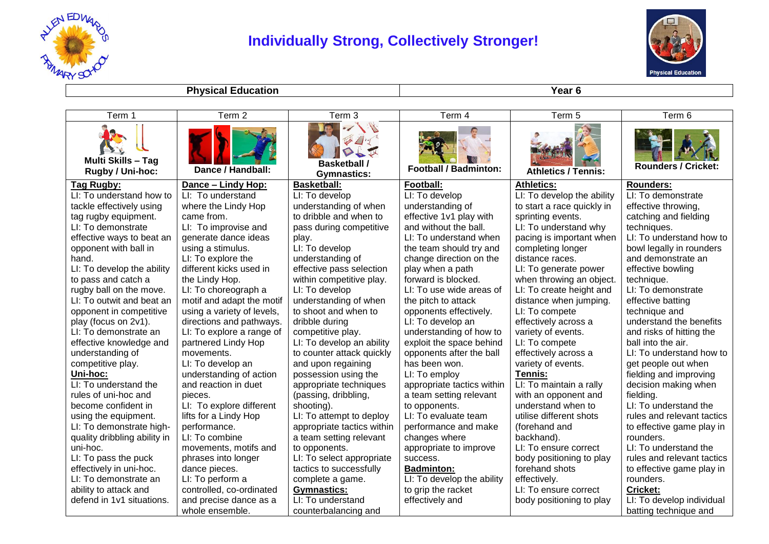

## **Individually Strong, Collectively Stronger!**



**Physical Education Year 6** 

| Term 1                                        | Term 2                     | Term 3                                    | Term 4                       | Term 5                     | Term 6                     |
|-----------------------------------------------|----------------------------|-------------------------------------------|------------------------------|----------------------------|----------------------------|
| <b>Multi Skills - Tag</b><br>Rugby / Uni-hoc: | Dance / Handball:          | <b>Basketball /</b><br><b>Gymnastics:</b> | <b>Football / Badminton:</b> | <b>Athletics / Tennis:</b> | <b>Rounders / Cricket:</b> |
| Tag Rugby:                                    | Dance - Lindy Hop:         | <b>Basketball:</b>                        | Football:                    | <b>Athletics:</b>          | <b>Rounders:</b>           |
| LI: To understand how to                      | LI: To understand          | LI: To develop                            | LI: To develop               | LI: To develop the ability | LI: To demonstrate         |
| tackle effectively using                      | where the Lindy Hop        | understanding of when                     | understanding of             | to start a race quickly in | effective throwing,        |
| tag rugby equipment.                          | came from.                 | to dribble and when to                    | effective 1v1 play with      | sprinting events.          | catching and fielding      |
| LI: To demonstrate                            | LI: To improvise and       | pass during competitive                   | and without the ball.        | LI: To understand why      | techniques.                |
| effective ways to beat an                     | generate dance ideas       | play.                                     | LI: To understand when       | pacing is important when   | LI: To understand how to   |
| opponent with ball in                         | using a stimulus.          | LI: To develop                            | the team should try and      | completing longer          | bowl legally in rounders   |
| hand.                                         | LI: To explore the         | understanding of                          | change direction on the      | distance races.            | and demonstrate an         |
| LI: To develop the ability                    | different kicks used in    | effective pass selection                  | play when a path             | LI: To generate power      | effective bowling          |
| to pass and catch a                           | the Lindy Hop.             | within competitive play.                  | forward is blocked.          | when throwing an object.   | technique.                 |
| rugby ball on the move.                       | LI: To choreograph a       | LI: To develop                            | LI: To use wide areas of     | LI: To create height and   | LI: To demonstrate         |
| LI: To outwit and beat an                     | motif and adapt the motif  | understanding of when                     | the pitch to attack          | distance when jumping.     | effective batting          |
| opponent in competitive                       | using a variety of levels, | to shoot and when to                      | opponents effectively.       | LI: To compete             | technique and              |
| play (focus on 2v1).                          | directions and pathways.   | dribble during                            | LI: To develop an            | effectively across a       | understand the benefits    |
| LI: To demonstrate an                         | LI: To explore a range of  | competitive play.                         | understanding of how to      | variety of events.         | and risks of hitting the   |
| effective knowledge and                       | partnered Lindy Hop        | LI: To develop an ability                 | exploit the space behind     | LI: To compete             | ball into the air.         |
| understanding of                              | movements.                 | to counter attack quickly                 | opponents after the ball     | effectively across a       | LI: To understand how to   |
| competitive play.                             | LI: To develop an          | and upon regaining                        | has been won.                | variety of events.         | get people out when        |
| <u>Uni-hoc:</u>                               | understanding of action    | possession using the                      | LI: To employ                | Tennis:                    | fielding and improving     |
| LI: To understand the                         | and reaction in duet       | appropriate techniques                    | appropriate tactics within   | LI: To maintain a rally    | decision making when       |
| rules of uni-hoc and                          | pieces.                    | (passing, dribbling,                      | a team setting relevant      | with an opponent and       | fielding.                  |
| become confident in                           | LI: To explore different   | shooting).                                | to opponents.                | understand when to         | LI: To understand the      |
| using the equipment.                          | lifts for a Lindy Hop      | LI: To attempt to deploy                  | LI: To evaluate team         | utilise different shots    | rules and relevant tactics |
| LI: To demonstrate high-                      | performance.               | appropriate tactics within                | performance and make         | (forehand and              | to effective game play in  |
| quality dribbling ability in                  | LI: To combine             | a team setting relevant                   | changes where                | backhand).                 | rounders.                  |
| uni-hoc.                                      | movements, motifs and      | to opponents.                             | appropriate to improve       | LI: To ensure correct      | LI: To understand the      |
| LI: To pass the puck                          | phrases into longer        | LI: To select appropriate                 | success.                     | body positioning to play   | rules and relevant tactics |
| effectively in uni-hoc.                       | dance pieces.              | tactics to successfully                   | <b>Badminton:</b>            | forehand shots             | to effective game play in  |
| LI: To demonstrate an                         | LI: To perform a           | complete a game.                          | LI: To develop the ability   | effectively.               | rounders.                  |
| ability to attack and                         | controlled, co-ordinated   | <b>Gymnastics:</b>                        | to grip the racket           | LI: To ensure correct      | <b>Cricket:</b>            |
| defend in 1v1 situations.                     | and precise dance as a     | LI: To understand                         | effectively and              | body positioning to play   | LI: To develop individual  |
|                                               | whole ensemble.            | counterbalancing and                      |                              |                            | batting technique and      |